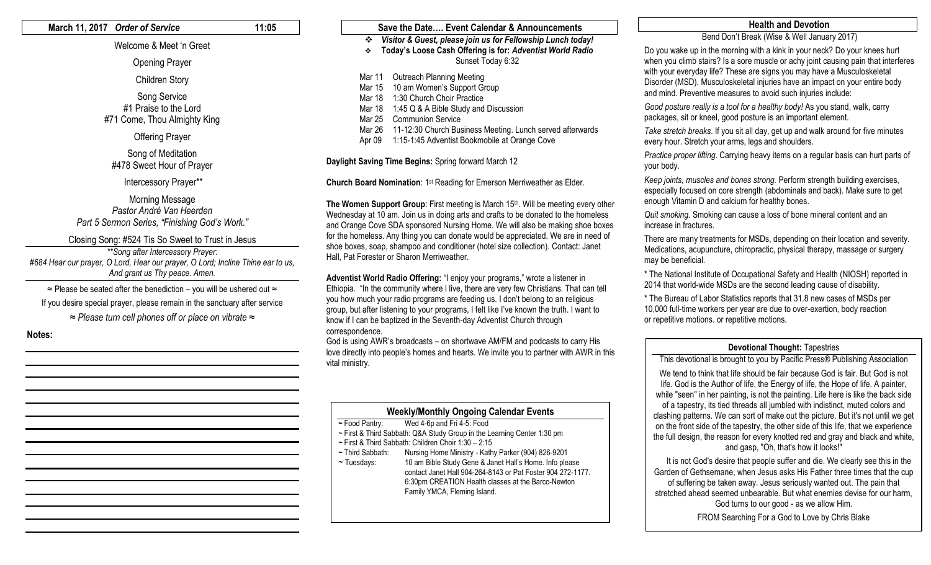## **March 11, 2017** *Order of Service* **11:05**

# Welcome & Meet 'n Greet

Opening Prayer

Children Story

Song Service #1 Praise to the Lord #71 Come, Thou Almighty King

Offering Prayer

Song of Meditation #478 Sweet Hour of Prayer

Intercessory Prayer\*\*

Morning Message *Pastor André Van Heerden Part 5 Sermon Series, "Finishing God's Work."*

Closing Song: #524 Tis So Sweet to Trust in Jesus

*\*\*Song after Intercessory Prayer: #684 Hear our prayer, O Lord, Hear our prayer, O Lord; Incline Thine ear to us, And grant us Thy peace. Amen.* 

≈ Please be seated after the benediction – you will be ushered out ≈ If you desire special prayer, please remain in the sanctuary after service

*≈ Please turn cell phones off or place on vibrate ≈*

**Notes:**

# **Save the Date…. Event Calendar & Announcements** *Visitor & Guest, please join us for Fellowship Lunch today!* **Today's Loose Cash Offering is for:** *Adventist World Radio* Sunset Today 6:32 Mar 11 Outreach Planning Meeting Mar 15 10 am Women's Support Group Mar 18 1:30 Church Choir Practice Mar 18 1:45 Q & A Bible Study and Discussion Mar 25 Communion Service Mar 26 11-12:30 Church Business Meeting. Lunch served afterwards Apr 09 1:15-1:45 Adventist Bookmobile at Orange Cove

**Daylight Saving Time Begins:** Spring forward March 12

**Church Board Nomination**: 1st Reading for Emerson Merriweather as Elder.

**The Women Support Group:** First meeting is March 15<sup>th</sup>. Will be meeting every other Wednesday at 10 am. Join us in doing arts and crafts to be donated to the homeless and Orange Cove SDA sponsored Nursing Home. We will also be making shoe boxes for the homeless. Any thing you can donate would be appreciated. We are in need of shoe boxes, soap, shampoo and conditioner (hotel size collection). Contact: Janet Hall, Pat Forester or Sharon Merriweather.

**Adventist World Radio Offering:** "I enjoy your programs," wrote a listener in Ethiopia. "In the community where I live, there are very few Christians. That can tell you how much your radio programs are feeding us. I don't belong to an religious group, but after listening to your programs, I felt like I've known the truth. I want to know if I can be baptized in the Seventh-day Adventist Church through correspondence.

God is using AWR's broadcasts – on shortwave AM/FM and podcasts to carry His love directly into people's homes and hearts. We invite you to partner with AWR in this vital ministry.

| <b>Weekly/Monthly Ongoing Calendar Events</b>                           |  |  |  |
|-------------------------------------------------------------------------|--|--|--|
| Wed 4-6p and Fri 4-5: Food                                              |  |  |  |
| ~ First & Third Sabbath: Q&A Study Group in the Learning Center 1:30 pm |  |  |  |
| ~ First & Third Sabbath: Children Choir 1:30 - 2:15                     |  |  |  |
| Nursing Home Ministry - Kathy Parker (904) 826-9201                     |  |  |  |
| 10 am Bible Study Gene & Janet Hall's Home. Info please                 |  |  |  |
| contact Janet Hall 904-264-8143 or Pat Foster 904 272-1177.             |  |  |  |
| 6:30pm CREATION Health classes at the Barco-Newton                      |  |  |  |
| Family YMCA, Fleming Island.                                            |  |  |  |
|                                                                         |  |  |  |
|                                                                         |  |  |  |

# **Health and Devotion**

# Bend Don't Break (Wise & Well January 2017)

Do you wake up in the morning with a kink in your neck? Do your knees hurt when you climb stairs? Is a sore muscle or achy joint causing pain that interferes with your everyday life? These are signs you may have a Musculoskeletal Disorder (MSD). Musculoskeletal injuries have an impact on your entire body and mind. Preventive measures to avoid such injuries include:

*Good posture really is a tool for a healthy body!* As you stand, walk, carry packages, sit or kneel, good posture is an important element.

*Take stretch breaks*. If you sit all day, get up and walk around for five minutes every hour. Stretch your arms, legs and shoulders.

*Practice proper lifting*. Carrying heavy items on a regular basis can hurt parts of your body.

*Keep joints, muscles and bones strong.* Perform strength building exercises, especially focused on core strength (abdominals and back). Make sure to get enough Vitamin D and calcium for healthy bones.

*Quit smoking.* Smoking can cause a loss of bone mineral content and an increase in fractures.

There are many treatments for MSDs, depending on their location and severity. Medications, acupuncture, chiropractic, physical therapy, massage or surgery may be beneficial.

\* The National Institute of Occupational Safety and Health (NIOSH) reported in 2014 that world-wide MSDs are the second leading cause of disability.

\* The Bureau of Labor Statistics reports that 31.8 new cases of MSDs per 10,000 full-time workers per year are due to over-exertion, body reaction or repetitive motions. or repetitive motions.

## **Devotional Thought:** Tapestries

This devotional is brought to you by Pacific Press® Publishing Association We tend to think that life should be fair because God is fair. But God is not life. God is the Author of life, the Energy of life, the Hope of life. A painter, while "seen" in her painting, is not the painting. Life here is like the back side of a tapestry, its tied threads all jumbled with indistinct, muted colors and clashing patterns. We can sort of make out the picture. But it's not until we get on the front side of the tapestry, the other side of this life, that we experience the full design, the reason for every knotted red and gray and black and white, and gasp, "Oh, that's how it looks!"

 It is not God's desire that people suffer and die. We clearly see this in the Garden of Gethsemane, when Jesus asks His Father three times that the cup of suffering be taken away. Jesus seriously wanted out. The pain that stretched ahead seemed unbearable. But what enemies devise for our harm, God turns to our good - as we allow Him.

FROM Searching For a God to Love by Chris Blake